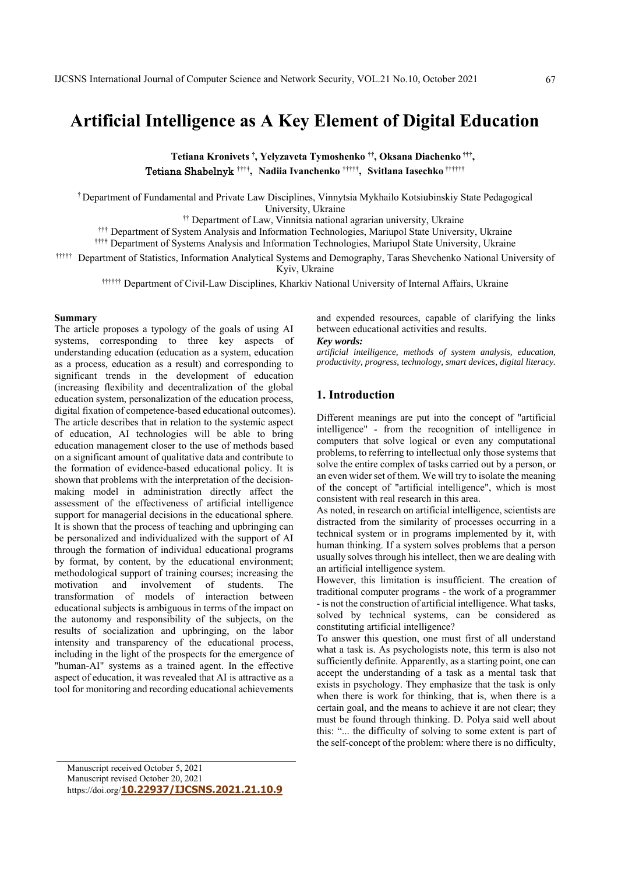# **Artificial Intelligence as A Key Element of Digital Education**

**Tеtiana Kronivets † , Yelyzaveta Tymoshenko ††, Oksana Diachenko †††,**  Tetiana Shabelnyk †††**† , Nadiia Ivanchenko** †††††**, Svitlana Iasechko** ††††††

**†** Department of Fundamental and Private Law Disciplines, Vinnytsia Mykhailo Kotsiubinskiy State Pedagogical University, Ukraine

†† Department of Law, Vinnitsia national agrarian university, Ukraine

††† Department of System Analysis and Information Technologies, Мariupol State University, Ukraine

†††**†** Department of Systems Analysis and Information Technologies, Mariupol State University, Ukraine

††††† Department of Statistics, Information Analytical Systems and Demography, Taras Shevchenko National University of Kyiv, Ukraine

†††††† Department of Civil-Law Disciplines, Kharkiv National University of Internal Affairs, Ukraine

#### **Summary**

The article proposes a typology of the goals of using AI systems, corresponding to three key aspects of understanding education (education as a system, education as a process, education as a result) and corresponding to significant trends in the development of education (increasing flexibility and decentralization of the global education system, personalization of the education process, digital fixation of competence-based educational outcomes). The article describes that in relation to the systemic aspect of education, AI technologies will be able to bring education management closer to the use of methods based on a significant amount of qualitative data and contribute to the formation of evidence-based educational policy. It is shown that problems with the interpretation of the decisionmaking model in administration directly affect the assessment of the effectiveness of artificial intelligence support for managerial decisions in the educational sphere. It is shown that the process of teaching and upbringing can be personalized and individualized with the support of AI through the formation of individual educational programs by format, by content, by the educational environment; methodological support of training courses; increasing the motivation and involvement of students. The transformation of models of interaction between educational subjects is ambiguous in terms of the impact on the autonomy and responsibility of the subjects, on the results of socialization and upbringing, on the labor intensity and transparency of the educational process, including in the light of the prospects for the emergence of "human-AI" systems as a trained agent. In the effective aspect of education, it was revealed that AI is attractive as a tool for monitoring and recording educational achievements

and expended resources, capable of clarifying the links between educational activities and results.

#### *Key words:*

*artificial intelligence, methods of system analysis, education, productivity, progress, technology, smart devices, digital literacy.* 

# **1. Introduction**

Different meanings are put into the concept of "artificial intelligence" - from the recognition of intelligence in computers that solve logical or even any computational problems, to referring to intellectual only those systems that solve the entire complex of tasks carried out by a person, or an even wider set of them. We will try to isolate the meaning of the concept of "artificial intelligence", which is most consistent with real research in this area.

As noted, in research on artificial intelligence, scientists are distracted from the similarity of processes occurring in a technical system or in programs implemented by it, with human thinking. If a system solves problems that a person usually solves through his intellect, then we are dealing with an artificial intelligence system.

However, this limitation is insufficient. The creation of traditional computer programs - the work of a programmer - is not the construction of artificial intelligence. What tasks, solved by technical systems, can be considered as constituting artificial intelligence?

To answer this question, one must first of all understand what a task is. As psychologists note, this term is also not sufficiently definite. Apparently, as a starting point, one can accept the understanding of a task as a mental task that exists in psychology. They emphasize that the task is only when there is work for thinking, that is, when there is a certain goal, and the means to achieve it are not clear; they must be found through thinking. D. Polya said well about this: "... the difficulty of solving to some extent is part of the self-concept of the problem: where there is no difficulty,

Manuscript received October 5, 2021 Manuscript revised October 20, 2021 https://doi.org/**10.22937/IJCSNS.2021.21.10.9**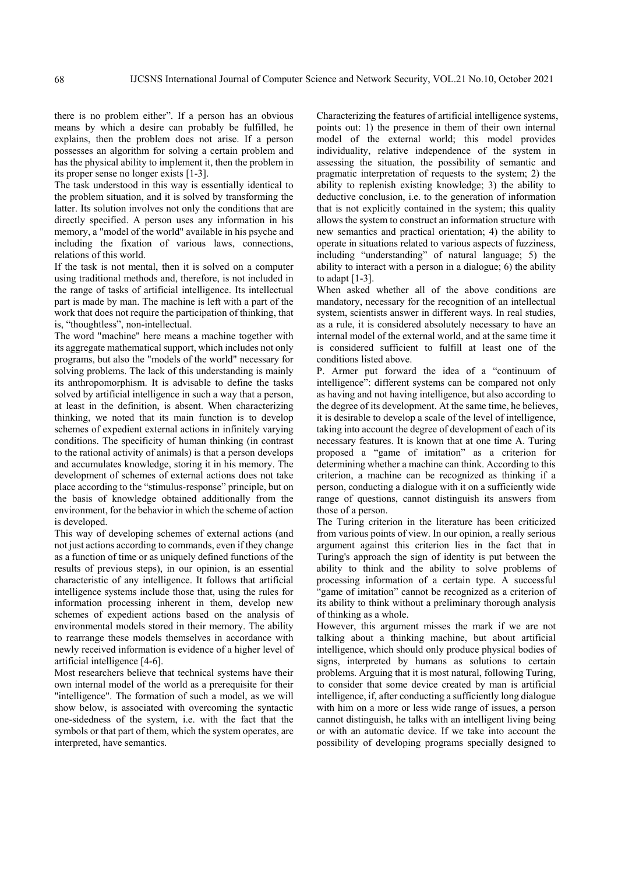there is no problem either". If a person has an obvious means by which a desire can probably be fulfilled, he explains, then the problem does not arise. If a person possesses an algorithm for solving a certain problem and has the physical ability to implement it, then the problem in its proper sense no longer exists [1-3].

The task understood in this way is essentially identical to the problem situation, and it is solved by transforming the latter. Its solution involves not only the conditions that are directly specified. A person uses any information in his memory, a "model of the world" available in his psyche and including the fixation of various laws, connections, relations of this world.

If the task is not mental, then it is solved on a computer using traditional methods and, therefore, is not included in the range of tasks of artificial intelligence. Its intellectual part is made by man. The machine is left with a part of the work that does not require the participation of thinking, that is, "thoughtless", non-intellectual.

The word "machine" here means a machine together with its aggregate mathematical support, which includes not only programs, but also the "models of the world" necessary for solving problems. The lack of this understanding is mainly its anthropomorphism. It is advisable to define the tasks solved by artificial intelligence in such a way that a person, at least in the definition, is absent. When characterizing thinking, we noted that its main function is to develop schemes of expedient external actions in infinitely varying conditions. The specificity of human thinking (in contrast to the rational activity of animals) is that a person develops and accumulates knowledge, storing it in his memory. The development of schemes of external actions does not take place according to the "stimulus-response" principle, but on the basis of knowledge obtained additionally from the environment, for the behavior in which the scheme of action is developed.

This way of developing schemes of external actions (and not just actions according to commands, even if they change as a function of time or as uniquely defined functions of the results of previous steps), in our opinion, is an essential characteristic of any intelligence. It follows that artificial intelligence systems include those that, using the rules for information processing inherent in them, develop new schemes of expedient actions based on the analysis of environmental models stored in their memory. The ability to rearrange these models themselves in accordance with newly received information is evidence of a higher level of artificial intelligence [4-6].

Most researchers believe that technical systems have their own internal model of the world as a prerequisite for their "intelligence". The formation of such a model, as we will show below, is associated with overcoming the syntactic one-sidedness of the system, i.e. with the fact that the symbols or that part of them, which the system operates, are interpreted, have semantics.

Characterizing the features of artificial intelligence systems, points out: 1) the presence in them of their own internal model of the external world; this model provides individuality, relative independence of the system in assessing the situation, the possibility of semantic and pragmatic interpretation of requests to the system; 2) the ability to replenish existing knowledge; 3) the ability to deductive conclusion, i.e. to the generation of information that is not explicitly contained in the system; this quality allows the system to construct an information structure with new semantics and practical orientation; 4) the ability to operate in situations related to various aspects of fuzziness, including "understanding" of natural language; 5) the ability to interact with a person in a dialogue; 6) the ability to adapt  $[1-3]$ .

When asked whether all of the above conditions are mandatory, necessary for the recognition of an intellectual system, scientists answer in different ways. In real studies, as a rule, it is considered absolutely necessary to have an internal model of the external world, and at the same time it is considered sufficient to fulfill at least one of the conditions listed above.

P. Armer put forward the idea of a "continuum of intelligence": different systems can be compared not only as having and not having intelligence, but also according to the degree of its development. At the same time, he believes, it is desirable to develop a scale of the level of intelligence, taking into account the degree of development of each of its necessary features. It is known that at one time A. Turing proposed a "game of imitation" as a criterion for determining whether a machine can think. According to this criterion, a machine can be recognized as thinking if a person, conducting a dialogue with it on a sufficiently wide range of questions, cannot distinguish its answers from those of a person.

The Turing criterion in the literature has been criticized from various points of view. In our opinion, a really serious argument against this criterion lies in the fact that in Turing's approach the sign of identity is put between the ability to think and the ability to solve problems of processing information of a certain type. A successful "game of imitation" cannot be recognized as a criterion of its ability to think without a preliminary thorough analysis of thinking as a whole.

However, this argument misses the mark if we are not talking about a thinking machine, but about artificial intelligence, which should only produce physical bodies of signs, interpreted by humans as solutions to certain problems. Arguing that it is most natural, following Turing, to consider that some device created by man is artificial intelligence, if, after conducting a sufficiently long dialogue with him on a more or less wide range of issues, a person cannot distinguish, he talks with an intelligent living being or with an automatic device. If we take into account the possibility of developing programs specially designed to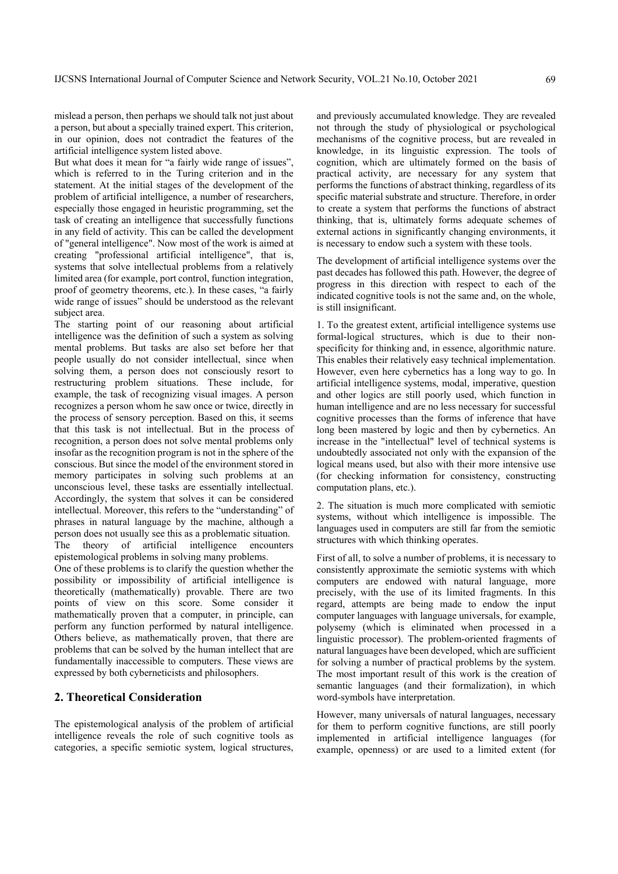mislead a person, then perhaps we should talk not just about a person, but about a specially trained expert. This criterion, in our opinion, does not contradict the features of the artificial intelligence system listed above.

But what does it mean for "a fairly wide range of issues", which is referred to in the Turing criterion and in the statement. At the initial stages of the development of the problem of artificial intelligence, a number of researchers, especially those engaged in heuristic programming, set the task of creating an intelligence that successfully functions in any field of activity. This can be called the development of "general intelligence". Now most of the work is aimed at creating "professional artificial intelligence", that is, systems that solve intellectual problems from a relatively limited area (for example, port control, function integration, proof of geometry theorems, etc.). In these cases, "a fairly wide range of issues" should be understood as the relevant subject area.

The starting point of our reasoning about artificial intelligence was the definition of such a system as solving mental problems. But tasks are also set before her that people usually do not consider intellectual, since when solving them, a person does not consciously resort to restructuring problem situations. These include, for example, the task of recognizing visual images. A person recognizes a person whom he saw once or twice, directly in the process of sensory perception. Based on this, it seems that this task is not intellectual. But in the process of recognition, a person does not solve mental problems only insofar as the recognition program is not in the sphere of the conscious. But since the model of the environment stored in memory participates in solving such problems at an unconscious level, these tasks are essentially intellectual. Accordingly, the system that solves it can be considered intellectual. Moreover, this refers to the "understanding" of phrases in natural language by the machine, although a person does not usually see this as a problematic situation. The theory of artificial intelligence encounters

epistemological problems in solving many problems.

One of these problems is to clarify the question whether the possibility or impossibility of artificial intelligence is theoretically (mathematically) provable. There are two points of view on this score. Some consider it mathematically proven that a computer, in principle, can perform any function performed by natural intelligence. Others believe, as mathematically proven, that there are problems that can be solved by the human intellect that are fundamentally inaccessible to computers. These views are expressed by both cyberneticists and philosophers.

# **2. Theoretical Consideration**

The epistemological analysis of the problem of artificial intelligence reveals the role of such cognitive tools as categories, a specific semiotic system, logical structures, and previously accumulated knowledge. They are revealed not through the study of physiological or psychological mechanisms of the cognitive process, but are revealed in knowledge, in its linguistic expression. The tools of cognition, which are ultimately formed on the basis of practical activity, are necessary for any system that performs the functions of abstract thinking, regardless of its specific material substrate and structure. Therefore, in order to create a system that performs the functions of abstract thinking, that is, ultimately forms adequate schemes of external actions in significantly changing environments, it is necessary to endow such a system with these tools.

The development of artificial intelligence systems over the past decades has followed this path. However, the degree of progress in this direction with respect to each of the indicated cognitive tools is not the same and, on the whole, is still insignificant.

1. To the greatest extent, artificial intelligence systems use formal-logical structures, which is due to their nonspecificity for thinking and, in essence, algorithmic nature. This enables their relatively easy technical implementation. However, even here cybernetics has a long way to go. In artificial intelligence systems, modal, imperative, question and other logics are still poorly used, which function in human intelligence and are no less necessary for successful cognitive processes than the forms of inference that have long been mastered by logic and then by cybernetics. An increase in the "intellectual" level of technical systems is undoubtedly associated not only with the expansion of the logical means used, but also with their more intensive use (for checking information for consistency, constructing computation plans, etc.).

2. The situation is much more complicated with semiotic systems, without which intelligence is impossible. The languages used in computers are still far from the semiotic structures with which thinking operates.

First of all, to solve a number of problems, it is necessary to consistently approximate the semiotic systems with which computers are endowed with natural language, more precisely, with the use of its limited fragments. In this regard, attempts are being made to endow the input computer languages with language universals, for example, polysemy (which is eliminated when processed in a linguistic processor). The problem-oriented fragments of natural languages have been developed, which are sufficient for solving a number of practical problems by the system. The most important result of this work is the creation of semantic languages (and their formalization), in which word-symbols have interpretation.

However, many universals of natural languages, necessary for them to perform cognitive functions, are still poorly implemented in artificial intelligence languages (for example, openness) or are used to a limited extent (for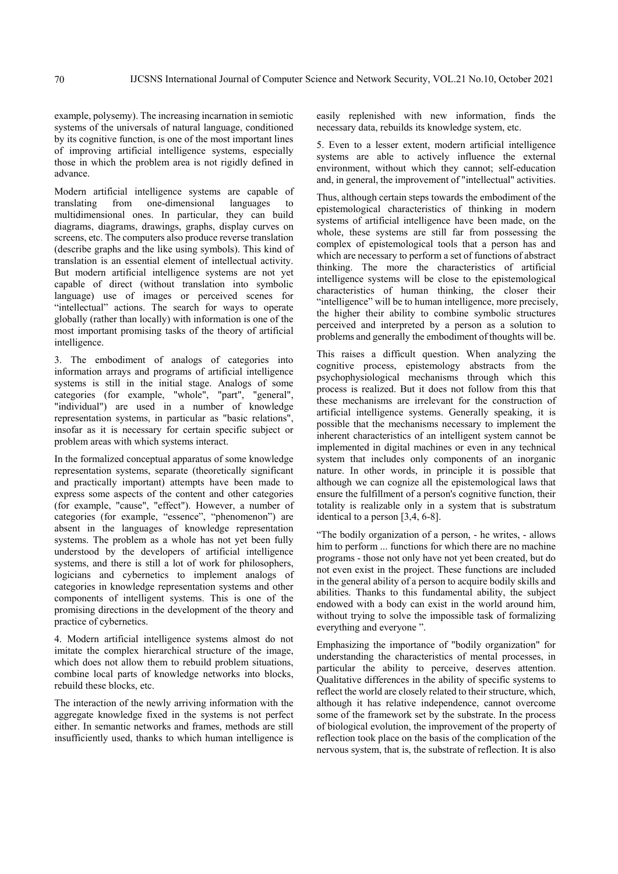example, polysemy). The increasing incarnation in semiotic systems of the universals of natural language, conditioned by its cognitive function, is one of the most important lines of improving artificial intelligence systems, especially those in which the problem area is not rigidly defined in advance.

Modern artificial intelligence systems are capable of translating from one-dimensional languages to multidimensional ones. In particular, they can build diagrams, diagrams, drawings, graphs, display curves on screens, etc. The computers also produce reverse translation (describe graphs and the like using symbols). This kind of translation is an essential element of intellectual activity. But modern artificial intelligence systems are not yet capable of direct (without translation into symbolic language) use of images or perceived scenes for "intellectual" actions. The search for ways to operate globally (rather than locally) with information is one of the most important promising tasks of the theory of artificial intelligence.

3. The embodiment of analogs of categories into information arrays and programs of artificial intelligence systems is still in the initial stage. Analogs of some categories (for example, "whole", "part", "general", "individual") are used in a number of knowledge representation systems, in particular as "basic relations", insofar as it is necessary for certain specific subject or problem areas with which systems interact.

In the formalized conceptual apparatus of some knowledge representation systems, separate (theoretically significant and practically important) attempts have been made to express some aspects of the content and other categories (for example, "cause", "effect"). However, a number of categories (for example, "essence", "phenomenon") are absent in the languages of knowledge representation systems. The problem as a whole has not yet been fully understood by the developers of artificial intelligence systems, and there is still a lot of work for philosophers, logicians and cybernetics to implement analogs of categories in knowledge representation systems and other components of intelligent systems. This is one of the promising directions in the development of the theory and practice of cybernetics.

4. Modern artificial intelligence systems almost do not imitate the complex hierarchical structure of the image, which does not allow them to rebuild problem situations, combine local parts of knowledge networks into blocks, rebuild these blocks, etc.

The interaction of the newly arriving information with the aggregate knowledge fixed in the systems is not perfect either. In semantic networks and frames, methods are still insufficiently used, thanks to which human intelligence is

easily replenished with new information, finds the necessary data, rebuilds its knowledge system, etc.

5. Even to a lesser extent, modern artificial intelligence systems are able to actively influence the external environment, without which they cannot; self-education and, in general, the improvement of "intellectual" activities.

Thus, although certain steps towards the embodiment of the epistemological characteristics of thinking in modern systems of artificial intelligence have been made, on the whole, these systems are still far from possessing the complex of epistemological tools that a person has and which are necessary to perform a set of functions of abstract thinking. The more the characteristics of artificial intelligence systems will be close to the epistemological characteristics of human thinking, the closer their "intelligence" will be to human intelligence, more precisely, the higher their ability to combine symbolic structures perceived and interpreted by a person as a solution to problems and generally the embodiment of thoughts will be.

This raises a difficult question. When analyzing the cognitive process, epistemology abstracts from the psychophysiological mechanisms through which this process is realized. But it does not follow from this that these mechanisms are irrelevant for the construction of artificial intelligence systems. Generally speaking, it is possible that the mechanisms necessary to implement the inherent characteristics of an intelligent system cannot be implemented in digital machines or even in any technical system that includes only components of an inorganic nature. In other words, in principle it is possible that although we can cognize all the epistemological laws that ensure the fulfillment of a person's cognitive function, their totality is realizable only in a system that is substratum identical to a person [3,4, 6-8].

"The bodily organization of a person, - he writes, - allows him to perform ... functions for which there are no machine programs - those not only have not yet been created, but do not even exist in the project. These functions are included in the general ability of a person to acquire bodily skills and abilities. Thanks to this fundamental ability, the subject endowed with a body can exist in the world around him, without trying to solve the impossible task of formalizing everything and everyone ".

Emphasizing the importance of "bodily organization" for understanding the characteristics of mental processes, in particular the ability to perceive, deserves attention. Qualitative differences in the ability of specific systems to reflect the world are closely related to their structure, which, although it has relative independence, cannot overcome some of the framework set by the substrate. In the process of biological evolution, the improvement of the property of reflection took place on the basis of the complication of the nervous system, that is, the substrate of reflection. It is also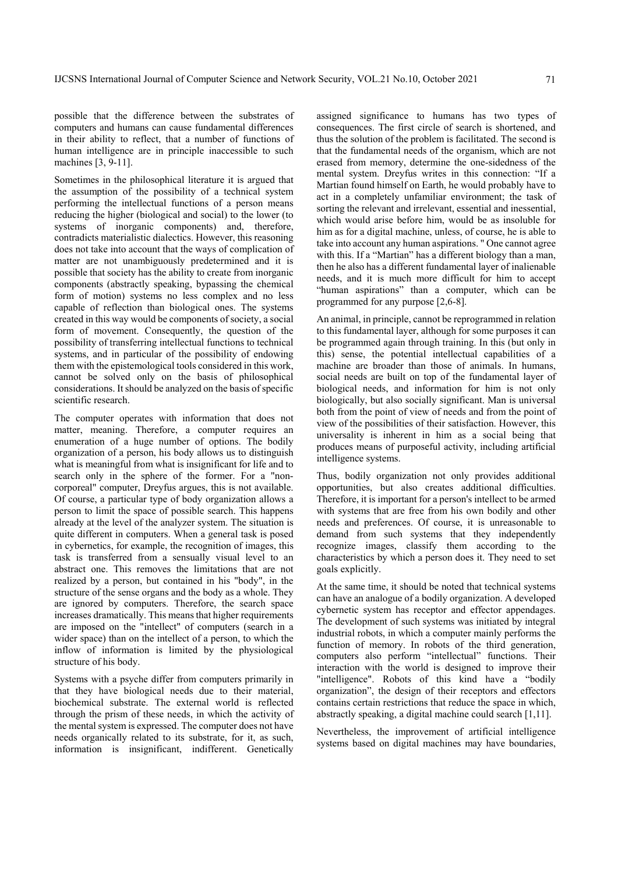possible that the difference between the substrates of computers and humans can cause fundamental differences in their ability to reflect, that a number of functions of human intelligence are in principle inaccessible to such machines [3, 9-11].

Sometimes in the philosophical literature it is argued that the assumption of the possibility of a technical system performing the intellectual functions of a person means reducing the higher (biological and social) to the lower (to systems of inorganic components) and, therefore, contradicts materialistic dialectics. However, this reasoning does not take into account that the ways of complication of matter are not unambiguously predetermined and it is possible that society has the ability to create from inorganic components (abstractly speaking, bypassing the chemical form of motion) systems no less complex and no less capable of reflection than biological ones. The systems created in this way would be components of society, a social form of movement. Consequently, the question of the possibility of transferring intellectual functions to technical systems, and in particular of the possibility of endowing them with the epistemological tools considered in this work, cannot be solved only on the basis of philosophical considerations. It should be analyzed on the basis of specific scientific research.

The computer operates with information that does not matter, meaning. Therefore, a computer requires an enumeration of a huge number of options. The bodily organization of a person, his body allows us to distinguish what is meaningful from what is insignificant for life and to search only in the sphere of the former. For a "noncorporeal" computer, Dreyfus argues, this is not available. Of course, a particular type of body organization allows a person to limit the space of possible search. This happens already at the level of the analyzer system. The situation is quite different in computers. When a general task is posed in cybernetics, for example, the recognition of images, this task is transferred from a sensually visual level to an abstract one. This removes the limitations that are not realized by a person, but contained in his "body", in the structure of the sense organs and the body as a whole. They are ignored by computers. Therefore, the search space increases dramatically. This means that higher requirements are imposed on the "intellect" of computers (search in a wider space) than on the intellect of a person, to which the inflow of information is limited by the physiological structure of his body.

Systems with a psyche differ from computers primarily in that they have biological needs due to their material, biochemical substrate. The external world is reflected through the prism of these needs, in which the activity of the mental system is expressed. The computer does not have needs organically related to its substrate, for it, as such, information is insignificant, indifferent. Genetically

assigned significance to humans has two types of consequences. The first circle of search is shortened, and thus the solution of the problem is facilitated. The second is that the fundamental needs of the organism, which are not erased from memory, determine the one-sidedness of the mental system. Dreyfus writes in this connection: "If a Martian found himself on Earth, he would probably have to act in a completely unfamiliar environment; the task of sorting the relevant and irrelevant, essential and inessential, which would arise before him, would be as insoluble for him as for a digital machine, unless, of course, he is able to take into account any human aspirations. " One cannot agree with this. If a "Martian" has a different biology than a man, then he also has a different fundamental layer of inalienable needs, and it is much more difficult for him to accept "human aspirations" than a computer, which can be programmed for any purpose [2,6-8].

An animal, in principle, cannot be reprogrammed in relation to this fundamental layer, although for some purposes it can be programmed again through training. In this (but only in this) sense, the potential intellectual capabilities of a machine are broader than those of animals. In humans, social needs are built on top of the fundamental layer of biological needs, and information for him is not only biologically, but also socially significant. Man is universal both from the point of view of needs and from the point of view of the possibilities of their satisfaction. However, this universality is inherent in him as a social being that produces means of purposeful activity, including artificial intelligence systems.

Thus, bodily organization not only provides additional opportunities, but also creates additional difficulties. Therefore, it is important for a person's intellect to be armed with systems that are free from his own bodily and other needs and preferences. Of course, it is unreasonable to demand from such systems that they independently recognize images, classify them according to the characteristics by which a person does it. They need to set goals explicitly.

At the same time, it should be noted that technical systems can have an analogue of a bodily organization. A developed cybernetic system has receptor and effector appendages. The development of such systems was initiated by integral industrial robots, in which a computer mainly performs the function of memory. In robots of the third generation, computers also perform "intellectual" functions. Their interaction with the world is designed to improve their "intelligence". Robots of this kind have a "bodily organization", the design of their receptors and effectors contains certain restrictions that reduce the space in which, abstractly speaking, a digital machine could search [1,11].

Nevertheless, the improvement of artificial intelligence systems based on digital machines may have boundaries,